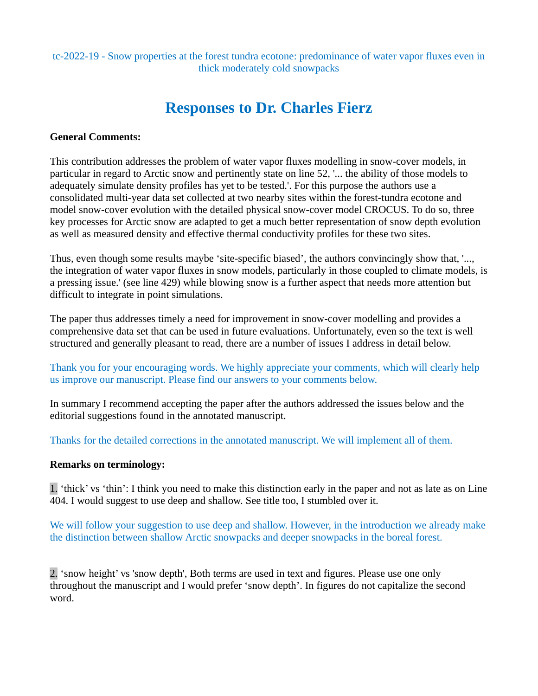tc-2022-19 - Snow properties at the forest tundra ecotone: predominance of water vapor fluxes even in thick moderately cold snowpacks

# **Responses to Dr. Charles Fierz**

#### **General Comments:**

This contribution addresses the problem of water vapor fluxes modelling in snow-cover models, in particular in regard to Arctic snow and pertinently state on line 52, '... the ability of those models to adequately simulate density profiles has yet to be tested.'. For this purpose the authors use a consolidated multi-year data set collected at two nearby sites within the forest-tundra ecotone and model snow-cover evolution with the detailed physical snow-cover model CROCUS. To do so, three key processes for Arctic snow are adapted to get a much better representation of snow depth evolution as well as measured density and effective thermal conductivity profiles for these two sites.

Thus, even though some results maybe 'site-specific biased', the authors convincingly show that, '..., the integration of water vapor fluxes in snow models, particularly in those coupled to climate models, is a pressing issue.' (see line 429) while blowing snow is a further aspect that needs more attention but difficult to integrate in point simulations.

The paper thus addresses timely a need for improvement in snow-cover modelling and provides a comprehensive data set that can be used in future evaluations. Unfortunately, even so the text is well structured and generally pleasant to read, there are a number of issues I address in detail below.

Thank you for your encouraging words. We highly appreciate your comments, which will clearly help us improve our manuscript. Please find our answers to your comments below.

In summary I recommend accepting the paper after the authors addressed the issues below and the editorial suggestions found in the annotated manuscript.

Thanks for the detailed corrections in the annotated manuscript. We will implement all of them.

#### **Remarks on terminology:**

1. 'thick' vs 'thin': I think you need to make this distinction early in the paper and not as late as on Line 404. I would suggest to use deep and shallow. See title too, I stumbled over it.

We will follow your suggestion to use deep and shallow. However, in the introduction we already make the distinction between shallow Arctic snowpacks and deeper snowpacks in the boreal forest.

2. 'snow height' vs 'snow depth', Both terms are used in text and figures. Please use one only throughout the manuscript and I would prefer 'snow depth'. In figures do not capitalize the second word.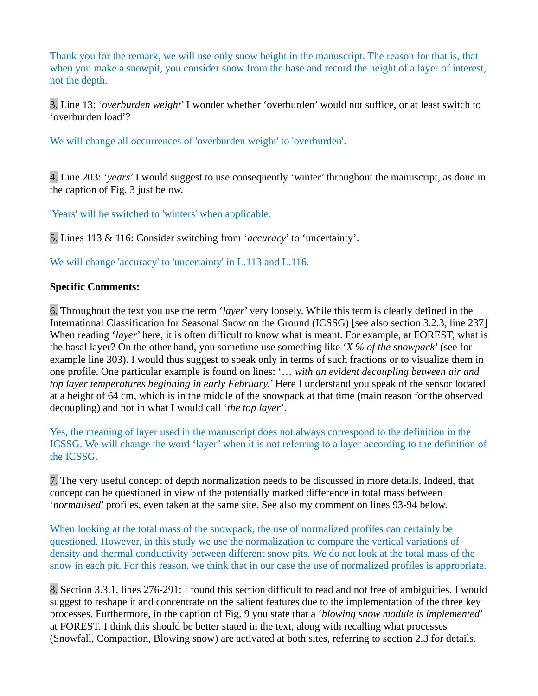Thank you for the remark, we will use only snow height in the manuscript. The reason for that is, that when you make a snowpit, you consider snow from the base and record the height of a layer of interest, not the depth.

3. Line 13: '*overburden weight*' I wonder whether 'overburden' would not suffice, or at least switch to 'overburden load'?

We will change all occurrences of 'overburden weight' to 'overburden'.

4. Line 203: '*years*' I would suggest to use consequently 'winter' throughout the manuscript, as done in the caption of Fig. 3 just below.

'Years' will be switched to 'winters' when applicable.

5. Lines 113 & 116: Consider switching from '*accuracy*' to 'uncertainty'.

We will change 'accuracy' to 'uncertainty' in L.113 and L.116.

### **Specific Comments:**

6. Throughout the text you use the term '*layer*' very loosely. While this term is clearly defined in the International Classification for Seasonal Snow on the Ground (ICSSG) [see also section 3.2.3, line 237] When reading '*layer*' here, it is often difficult to know what is meant. For example, at FOREST, what is the basal layer? On the other hand, you sometime use something like '*X % of the snowpack*' (see for example line 303). I would thus suggest to speak only in terms of such fractions or to visualize them in one profile. One particular example is found on lines: '… *with an evident decoupling between air and top layer temperatures beginning in early February.*' Here I understand you speak of the sensor located at a height of 64 cm, which is in the middle of the snowpack at that time (main reason for the observed decoupling) and not in what I would call '*the top layer*'.

Yes, the meaning of layer used in the manuscript does not always correspond to the definition in the ICSSG. We will change the word 'layer' when it is not referring to a layer according to the definition of the ICSSG.

7. The very useful concept of depth normalization needs to be discussed in more details. Indeed, that concept can be questioned in view of the potentially marked difference in total mass between '*normalised*' profiles, even taken at the same site. See also my comment on lines 93-94 below.

When looking at the total mass of the snowpack, the use of normalized profiles can certainly be questioned. However, in this study we use the normalization to compare the vertical variations of density and thermal conductivity between different snow pits. We do not look at the total mass of the snow in each pit. For this reason, we think that in our case the use of normalized profiles is appropriate.

8. Section 3.3.1, lines 276-291: I found this section difficult to read and not free of ambiguities. I would suggest to reshape it and concentrate on the salient features due to the implementation of the three key processes. Furthermore, in the caption of Fig. 9 you state that a '*blowing snow module is implemented*' at FOREST. I think this should be better stated in the text, along with recalling what processes (Snowfall, Compaction, Blowing snow) are activated at both sites, referring to section 2.3 for details.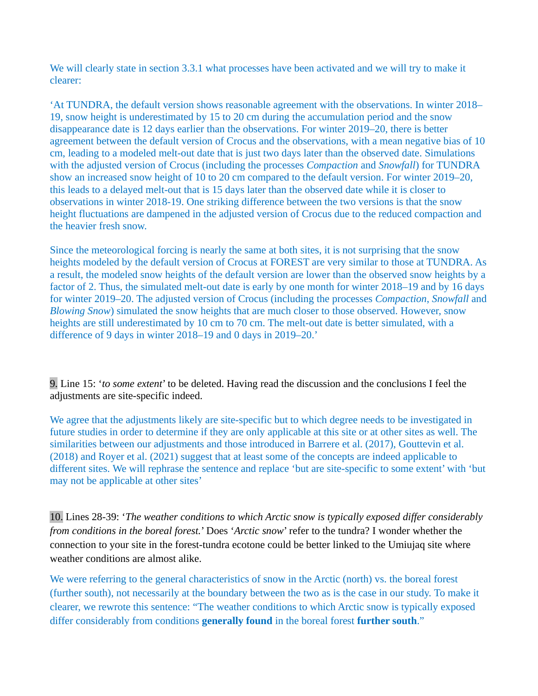We will clearly state in section 3.3.1 what processes have been activated and we will try to make it clearer:

'At TUNDRA, the default version shows reasonable agreement with the observations. In winter 2018– 19, snow height is underestimated by 15 to 20 cm during the accumulation period and the snow disappearance date is 12 days earlier than the observations. For winter 2019–20, there is better agreement between the default version of Crocus and the observations, with a mean negative bias of 10 cm, leading to a modeled melt-out date that is just two days later than the observed date. Simulations with the adjusted version of Crocus (including the processes *Compaction* and *Snowfall*) for TUNDRA show an increased snow height of 10 to 20 cm compared to the default version. For winter 2019–20, this leads to a delayed melt-out that is 15 days later than the observed date while it is closer to observations in winter 2018-19. One striking difference between the two versions is that the snow height fluctuations are dampened in the adjusted version of Crocus due to the reduced compaction and the heavier fresh snow.

Since the meteorological forcing is nearly the same at both sites, it is not surprising that the snow heights modeled by the default version of Crocus at FOREST are very similar to those at TUNDRA. As a result, the modeled snow heights of the default version are lower than the observed snow heights by a factor of 2. Thus, the simulated melt-out date is early by one month for winter 2018–19 and by 16 days for winter 2019–20. The adjusted version of Crocus (including the processes *Compaction*, *Snowfall* and *Blowing Snow*) simulated the snow heights that are much closer to those observed. However, snow heights are still underestimated by 10 cm to 70 cm. The melt-out date is better simulated, with a difference of 9 days in winter 2018–19 and 0 days in 2019–20.'

9. Line 15: '*to some extent*' to be deleted. Having read the discussion and the conclusions I feel the adjustments are site-specific indeed.

We agree that the adjustments likely are site-specific but to which degree needs to be investigated in future studies in order to determine if they are only applicable at this site or at other sites as well. The similarities between our adjustments and those introduced in Barrere et al. (2017), Gouttevin et al. (2018) and Royer et al. (2021) suggest that at least some of the concepts are indeed applicable to different sites. We will rephrase the sentence and replace 'but are site-specific to some extent' with 'but may not be applicable at other sites'

10. Lines 28-39: '*The weather conditions to which Arctic snow is typically exposed differ considerably from conditions in the boreal forest.*' Does '*Arctic snow*' refer to the tundra? I wonder whether the connection to your site in the forest-tundra ecotone could be better linked to the Umiujaq site where weather conditions are almost alike.

We were referring to the general characteristics of snow in the Arctic (north) vs. the boreal forest (further south), not necessarily at the boundary between the two as is the case in our study. To make it clearer, we rewrote this sentence: "The weather conditions to which Arctic snow is typically exposed differ considerably from conditions **generally found** in the boreal forest **further south**."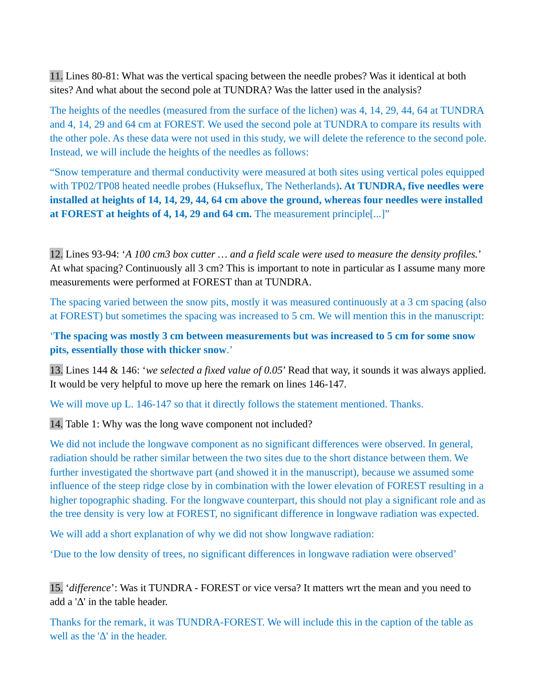11. Lines 80-81: What was the vertical spacing between the needle probes? Was it identical at both sites? And what about the second pole at TUNDRA? Was the latter used in the analysis?

The heights of the needles (measured from the surface of the lichen) was 4, 14, 29, 44, 64 at TUNDRA and 4, 14, 29 and 64 cm at FOREST. We used the second pole at TUNDRA to compare its results with the other pole. As these data were not used in this study, we will delete the reference to the second pole. Instead, we will include the heights of the needles as follows:

"Snow temperature and thermal conductivity were measured at both sites using vertical poles equipped with TP02/TP08 heated needle probes (Hukseflux, The Netherlands)**. At TUNDRA, five needles were installed at heights of 14, 14, 29, 44, 64 cm above the ground, whereas four needles were installed at FOREST at heights of 4, 14, 29 and 64 cm.** The measurement principle[...]"

12. Lines 93-94: '*A 100 cm3 box cutter … and a field scale were used to measure the density profiles.*' At what spacing? Continuously all 3 cm? This is important to note in particular as I assume many more measurements were performed at FOREST than at TUNDRA.

The spacing varied between the snow pits, mostly it was measured continuously at a 3 cm spacing (also at FOREST) but sometimes the spacing was increased to 5 cm. We will mention this in the manuscript:

'**The spacing was mostly 3 cm between measurements but was increased to 5 cm for some snow pits, essentially those with thicker snow**.'

13. Lines 144 & 146: '*we selected a fixed value of 0.05*' Read that way, it sounds it was always applied. It would be very helpful to move up here the remark on lines 146-147.

We will move up L. 146-147 so that it directly follows the statement mentioned. Thanks.

14. Table 1: Why was the long wave component not included?

We did not include the longwave component as no significant differences were observed. In general, radiation should be rather similar between the two sites due to the short distance between them. We further investigated the shortwave part (and showed it in the manuscript), because we assumed some influence of the steep ridge close by in combination with the lower elevation of FOREST resulting in a higher topographic shading. For the longwave counterpart, this should not play a significant role and as the tree density is very low at FOREST, no significant difference in longwave radiation was expected.

We will add a short explanation of why we did not show longwave radiation:

'Due to the low density of trees, no significant differences in longwave radiation were observed'

15. '*difference*': Was it TUNDRA - FOREST or vice versa? It matters wrt the mean and you need to add a 'Δ' in the table header.

Thanks for the remark, it was TUNDRA-FOREST. We will include this in the caption of the table as well as the 'Δ' in the header.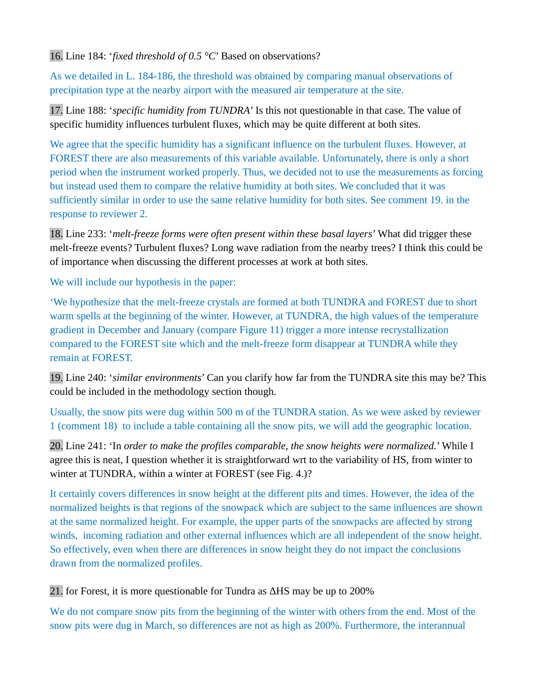16. Line 184: '*fixed threshold of 0.5 °C*' Based on observations?

As we detailed in L. 184-186, the threshold was obtained by comparing manual observations of precipitation type at the nearby airport with the measured air temperature at the site.

17. Line 188: '*specific humidity from TUNDRA*' Is this not questionable in that case. The value of specific humidity influences turbulent fluxes, which may be quite different at both sites.

We agree that the specific humidity has a significant influence on the turbulent fluxes. However, at FOREST there are also measurements of this variable available. Unfortunately, there is only a short period when the instrument worked properly. Thus, we decided not to use the measurements as forcing but instead used them to compare the relative humidity at both sites. We concluded that it was sufficiently similar in order to use the same relative humidity for both sites. See comment 19. in the response to reviewer 2.

18. Line 233: '*melt-freeze forms were often present within these basal layers*' What did trigger these melt-freeze events? Turbulent fluxes? Long wave radiation from the nearby trees? I think this could be of importance when discussing the different processes at work at both sites.

We will include our hypothesis in the paper:

'We hypothesize that the melt-freeze crystals are formed at both TUNDRA and FOREST due to short warm spells at the beginning of the winter. However, at TUNDRA, the high values of the temperature gradient in December and January (compare Figure 11) trigger a more intense recrystallization compared to the FOREST site which and the melt-freeze form disappear at TUNDRA while they remain at FOREST.

19. Line 240: '*similar environments*' Can you clarify how far from the TUNDRA site this may be? This could be included in the methodology section though.

Usually, the snow pits were dug within 500 m of the TUNDRA station. As we were asked by reviewer 1 (comment 18) to include a table containing all the snow pits, we will add the geographic location.

20. Line 241: 'In *order to make the profiles comparable, the snow heights were normalized.*' While I agree this is neat, I question whether it is straightforward wrt to the variability of HS, from winter to winter at TUNDRA, within a winter at FOREST (see Fig. 4.)?

It certainly covers differences in snow height at the different pits and times. However, the idea of the normalized heights is that regions of the snowpack which are subject to the same influences are shown at the same normalized height. For example, the upper parts of the snowpacks are affected by strong winds, incoming radiation and other external influences which are all independent of the snow height. So effectively, even when there are differences in snow height they do not impact the conclusions drawn from the normalized profiles.

21. for Forest, it is more questionable for Tundra as  $\Delta$ HS may be up to 200%

We do not compare snow pits from the beginning of the winter with others from the end. Most of the snow pits were dug in March, so differences are not as high as 200%. Furthermore, the interannual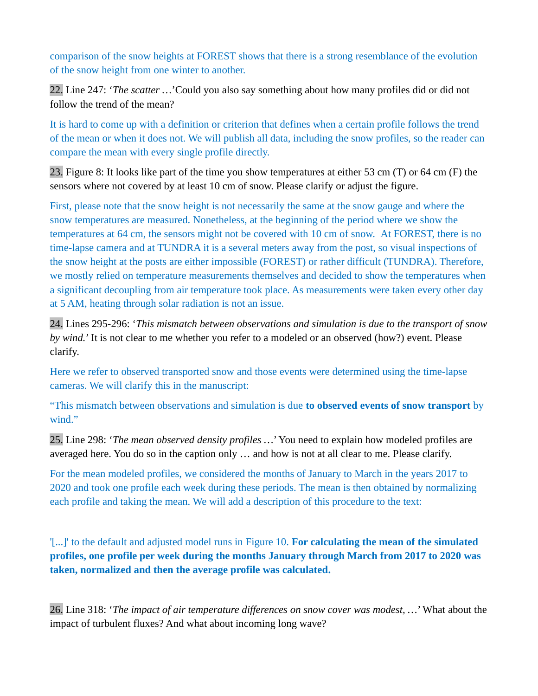comparison of the snow heights at FOREST shows that there is a strong resemblance of the evolution of the snow height from one winter to another.

22. Line 247: '*The scatter …*'Could you also say something about how many profiles did or did not follow the trend of the mean?

It is hard to come up with a definition or criterion that defines when a certain profile follows the trend of the mean or when it does not. We will publish all data, including the snow profiles, so the reader can compare the mean with every single profile directly.

23. Figure 8: It looks like part of the time you show temperatures at either 53 cm (T) or 64 cm (F) the sensors where not covered by at least 10 cm of snow. Please clarify or adjust the figure.

First, please note that the snow height is not necessarily the same at the snow gauge and where the snow temperatures are measured. Nonetheless, at the beginning of the period where we show the temperatures at 64 cm, the sensors might not be covered with 10 cm of snow. At FOREST, there is no time-lapse camera and at TUNDRA it is a several meters away from the post, so visual inspections of the snow height at the posts are either impossible (FOREST) or rather difficult (TUNDRA). Therefore, we mostly relied on temperature measurements themselves and decided to show the temperatures when a significant decoupling from air temperature took place. As measurements were taken every other day at 5 AM, heating through solar radiation is not an issue.

24. Lines 295-296: '*This mismatch between observations and simulation is due to the transport of snow by wind.*' It is not clear to me whether you refer to a modeled or an observed (how?) event. Please clarify.

Here we refer to observed transported snow and those events were determined using the time-lapse cameras. We will clarify this in the manuscript:

"This mismatch between observations and simulation is due **to observed events of snow transport** by wind."

25. Line 298: '*The mean observed density profiles …*' You need to explain how modeled profiles are averaged here. You do so in the caption only … and how is not at all clear to me. Please clarify.

For the mean modeled profiles, we considered the months of January to March in the years 2017 to 2020 and took one profile each week during these periods. The mean is then obtained by normalizing each profile and taking the mean. We will add a description of this procedure to the text:

'[...]' to the default and adjusted model runs in Figure 10. **For calculating the mean of the simulated profiles, one profile per week during the months January through March from 2017 to 2020 was taken, normalized and then the average profile was calculated.**

26. Line 318: '*The impact of air temperature differences on snow cover was modest, …*' What about the impact of turbulent fluxes? And what about incoming long wave?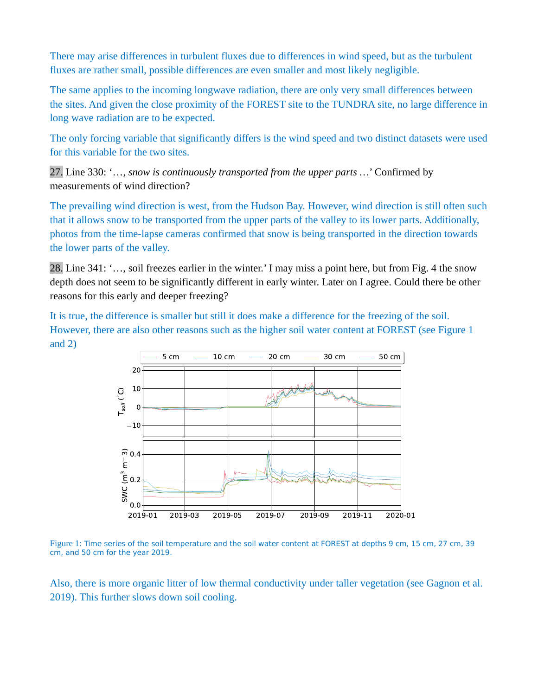There may arise differences in turbulent fluxes due to differences in wind speed, but as the turbulent fluxes are rather small, possible differences are even smaller and most likely negligible.

The same applies to the incoming longwave radiation, there are only very small differences between the sites. And given the close proximity of the FOREST site to the TUNDRA site, no large difference in long wave radiation are to be expected.

The only forcing variable that significantly differs is the wind speed and two distinct datasets were used for this variable for the two sites.

27. Line 330: '…*, snow is continuously transported from the upper parts …*' Confirmed by measurements of wind direction?

The prevailing wind direction is west, from the Hudson Bay. However, wind direction is still often such that it allows snow to be transported from the upper parts of the valley to its lower parts. Additionally, photos from the time-lapse cameras confirmed that snow is being transported in the direction towards the lower parts of the valley.

28. Line 341: '…, soil freezes earlier in the winter.' I may miss a point here, but from Fig. 4 the snow depth does not seem to be significantly different in early winter. Later on I agree. Could there be other reasons for this early and deeper freezing?

It is true, the difference is smaller but still it does make a difference for the freezing of the soil. However, there are also other reasons such as the higher soil water content at FOREST (see Figure 1 and 2)



Figure 1: Time series of the soil temperature and the soil water content at FOREST at depths 9 cm, 15 cm, 27 cm, 39 cm, and 50 cm for the year 2019.

Also, there is more organic litter of low thermal conductivity under taller vegetation (see Gagnon et al. 2019). This further slows down soil cooling.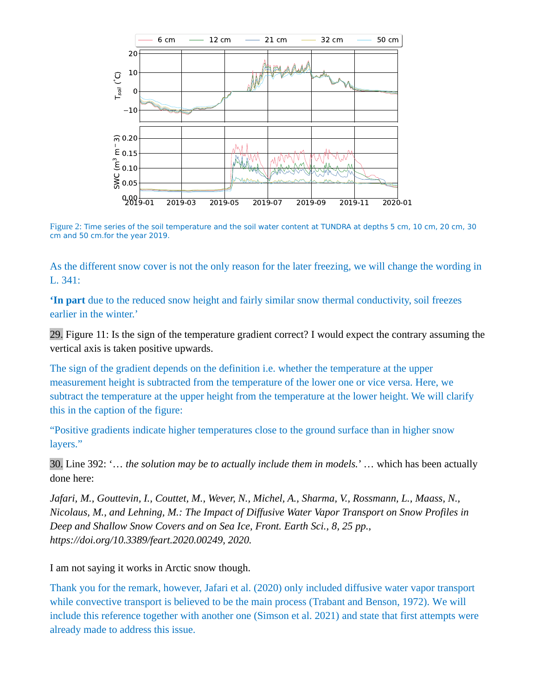

Figure 2: Time series of the soil temperature and the soil water content at TUNDRA at depths 5 cm, 10 cm, 20 cm, 30 cm and 50 cm.for the year 2019.

As the different snow cover is not the only reason for the later freezing, we will change the wording in L. 341:

**'In part** due to the reduced snow height and fairly similar snow thermal conductivity, soil freezes earlier in the winter.'

29. Figure 11: Is the sign of the temperature gradient correct? I would expect the contrary assuming the vertical axis is taken positive upwards.

The sign of the gradient depends on the definition i.e. whether the temperature at the upper measurement height is subtracted from the temperature of the lower one or vice versa. Here, we subtract the temperature at the upper height from the temperature at the lower height. We will clarify this in the caption of the figure:

"Positive gradients indicate higher temperatures close to the ground surface than in higher snow layers."

30. Line 392: '… *the solution may be to actually include them in models.*' … which has been actually done here:

*Jafari, M., Gouttevin, I., Couttet, M., Wever, N., Michel, A., Sharma, V., Rossmann, L., Maass, N., Nicolaus, M., and Lehning, M.: The Impact of Diffusive Water Vapor Transport on Snow Profiles in Deep and Shallow Snow Covers and on Sea Ice, Front. Earth Sci., 8, 25 pp., https://doi.org/10.3389/feart.2020.00249, 2020.*

I am not saying it works in Arctic snow though.

Thank you for the remark, however, Jafari et al. (2020) only included diffusive water vapor transport while convective transport is believed to be the main process (Trabant and Benson, 1972). We will include this reference together with another one (Simson et al. 2021) and state that first attempts were already made to address this issue.